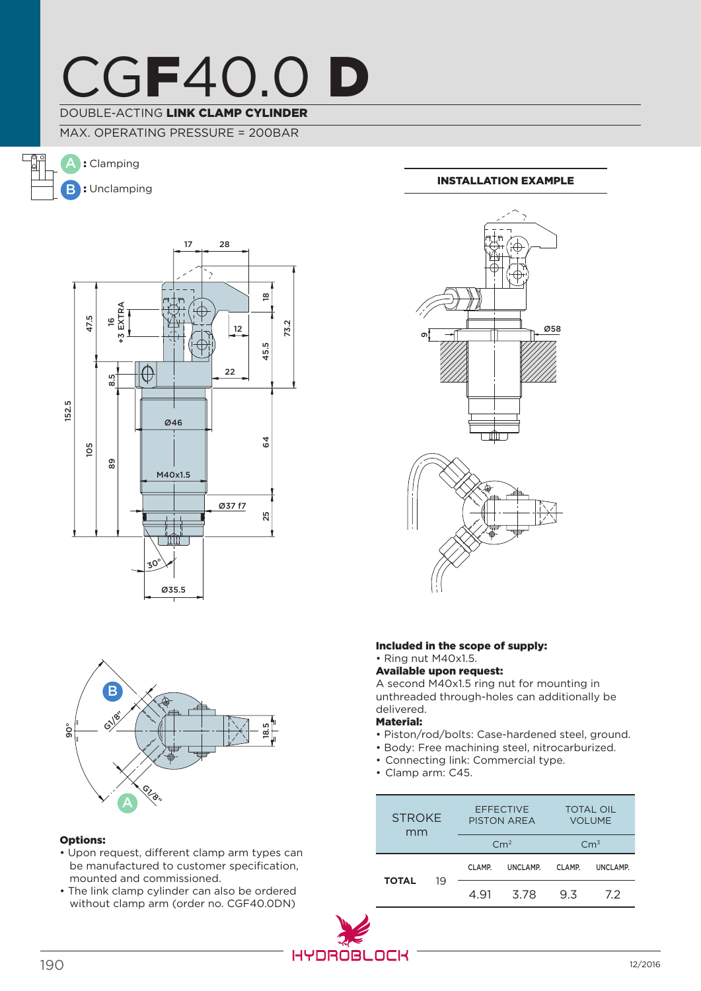

## DOUBLE-ACTING LINK CLAMP CYLINDER

MAX. OPERATING PRESSURE = 200BAR

 $\frac{1}{\sqrt{2}}$ A : Clamping **B**: Unclamping





#### Options:

- Upon request, different clamp arm types can be manufactured to customer specification, mounted and commissioned.
- The link clamp cylinder can also be ordered without clamp arm (order no. CGF40.0DN)

### Installation example



#### Included in the scope of supply: • Ring nut M40x1.5.

#### Available upon request:

A second M40x1.5 ring nut for mounting in unthreaded through-holes can additionally be delivered.

## Material:

- Piston/rod/bolts: Case-hardened steel, ground.
- Body: Free machining steel, nitrocarburized.
- Connecting link: Commercial type.
- Clamp arm: C45.

| <b>STROKE</b><br>mm |    | <b>EFFECTIVE</b><br><b>PISTON AREA</b> |          | <b>TOTAL OIL</b><br><b>VOLUME</b> |          |
|---------------------|----|----------------------------------------|----------|-----------------------------------|----------|
|                     |    | Cm <sup>2</sup>                        |          | $\rm C m^3$                       |          |
| <b>TOTAL</b>        | 19 | CLAMP.                                 | UNCLAMP. | CLAMP.                            | UNCLAMP. |
|                     |    | 4 91                                   | 3.78     | 93                                | 72       |